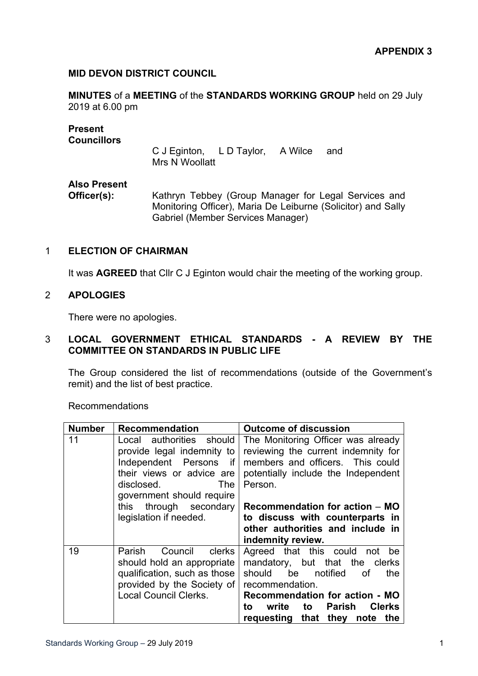### **MID DEVON DISTRICT COUNCIL**

**MINUTES** of a **MEETING** of the **STANDARDS WORKING GROUP** held on 29 July 2019 at 6.00 pm

| <b>Present</b><br><b>Councillors</b> | C J Eginton, L D Taylor, A Wilce<br>and<br>Mrs N Woollatt                                                                                                 |  |
|--------------------------------------|-----------------------------------------------------------------------------------------------------------------------------------------------------------|--|
| <b>Also Present</b><br>Officer(s):   | Kathryn Tebbey (Group Manager for Legal Services and<br>Monitoring Officer), Maria De Leiburne (Solicitor) and Sally<br>Gabriel (Member Services Manager) |  |

#### 1 **ELECTION OF CHAIRMAN**

It was **AGREED** that Cllr C J Eginton would chair the meeting of the working group.

## 2 **APOLOGIES**

There were no apologies.

#### 3 **LOCAL GOVERNMENT ETHICAL STANDARDS - A REVIEW BY THE COMMITTEE ON STANDARDS IN PUBLIC LIFE**

The Group considered the list of recommendations (outside of the Government's remit) and the list of best practice.

Recommendations

| <b>Number</b> | <b>Recommendation</b>                                                                                                                                                                                                         | <b>Outcome of discussion</b>                                                                                                                                                                                                                      |
|---------------|-------------------------------------------------------------------------------------------------------------------------------------------------------------------------------------------------------------------------------|---------------------------------------------------------------------------------------------------------------------------------------------------------------------------------------------------------------------------------------------------|
| 11            | Local authorities should<br>provide legal indemnity to<br>Independent Persons if<br>their views or advice are<br><b>The</b><br>disclosed.<br>government should require<br>through secondary<br>this<br>legislation if needed. | The Monitoring Officer was already<br>reviewing the current indemnity for<br>members and officers. This could<br>potentially include the Independent<br>Person.<br>Recommendation for action – MO<br>to discuss with counterparts in              |
|               |                                                                                                                                                                                                                               | other authorities and include in<br>indemnity review.                                                                                                                                                                                             |
| 19            | Parish<br>Council<br><b>clerks</b><br>should hold an appropriate<br>qualification, such as those<br>provided by the Society of<br>Local Council Clerks.                                                                       | Agreed that this could not<br>be<br>mandatory, but that the clerks<br>should<br>be notified<br>the<br>.of<br>recommendation.<br>Recommendation for action - MO<br>Clerks<br>write<br>to Parish<br>to<br>requesting<br>that<br>they<br>note<br>the |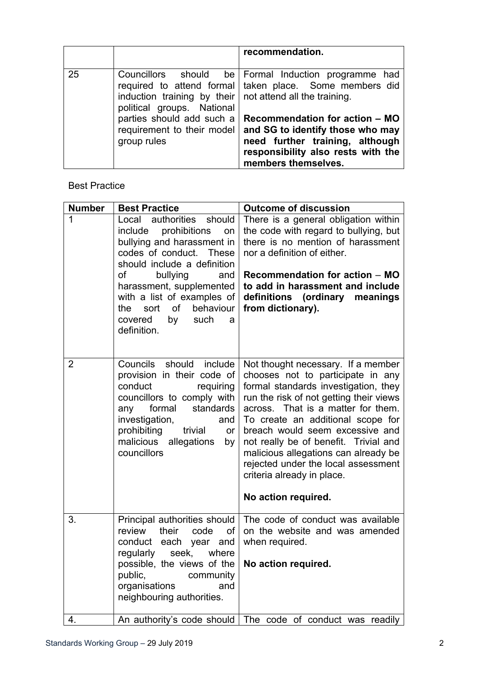|    |                                                                                                | recommendation.                                                                                                                                                    |
|----|------------------------------------------------------------------------------------------------|--------------------------------------------------------------------------------------------------------------------------------------------------------------------|
| 25 | induction training by their $\vert$ not attend all the training.<br>political groups. National | Councillors should be Formal Induction programme had<br>required to attend formal   taken place. Some members did                                                  |
|    | parties should add such a<br>requirement to their model<br>group rules                         | Recommendation for action - MO<br>and SG to identify those who may<br>need further training, although<br>responsibility also rests with the<br>members themselves. |

# Best Practice

| <b>Number</b>  | <b>Best Practice</b>                                                                                                                                                                                                                                                                                                      | <b>Outcome of discussion</b>                                                                                                                                                                                                                                                                                                                                                                                                                          |
|----------------|---------------------------------------------------------------------------------------------------------------------------------------------------------------------------------------------------------------------------------------------------------------------------------------------------------------------------|-------------------------------------------------------------------------------------------------------------------------------------------------------------------------------------------------------------------------------------------------------------------------------------------------------------------------------------------------------------------------------------------------------------------------------------------------------|
| 1              | Local<br>authorities<br>should<br>prohibitions<br>include<br>on<br>bullying and harassment in<br>codes of conduct. These<br>should include a definition<br>bullying<br>of<br>and<br>harassment, supplemented<br>with a list of examples of<br>of<br>behaviour<br>sort<br>the<br>by<br>such<br>covered<br>a<br>definition. | There is a general obligation within<br>the code with regard to bullying, but<br>there is no mention of harassment<br>nor a definition of either.<br>Recommendation for action - MO<br>to add in harassment and include<br>definitions (ordinary meanings<br>from dictionary).                                                                                                                                                                        |
| $\overline{2}$ | Councils<br>should include<br>provision in their code of<br>conduct<br>requiring<br>councillors to comply with<br>standards<br>formal<br>any<br>investigation,<br>and<br>prohibiting<br>trivial<br>or<br>malicious<br>allegations<br>by<br>councillors                                                                    | Not thought necessary. If a member<br>chooses not to participate in any<br>formal standards investigation, they<br>run the risk of not getting their views<br>across. That is a matter for them.<br>To create an additional scope for<br>breach would seem excessive and<br>not really be of benefit. Trivial and<br>malicious allegations can already be<br>rejected under the local assessment<br>criteria already in place.<br>No action required. |
| 3.             | Principal authorities should<br>review<br>their<br>code<br>of<br>conduct each year and<br>regularly seek,<br>where<br>possible, the views of the<br>public,<br>community<br>organisations<br>and<br>neighbouring authorities.                                                                                             | The code of conduct was available<br>on the website and was amended<br>when required.<br>No action required.                                                                                                                                                                                                                                                                                                                                          |
| 4.             | An authority's code should                                                                                                                                                                                                                                                                                                | The code of conduct was readily                                                                                                                                                                                                                                                                                                                                                                                                                       |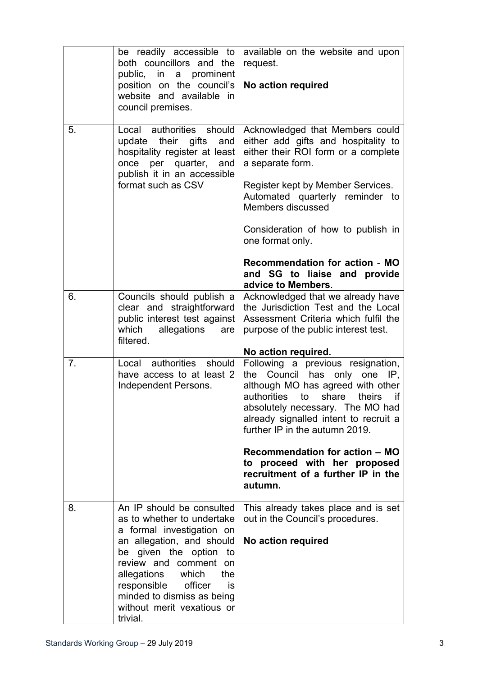|    | be readily accessible to<br>both councillors and the<br>public, in a prominent<br>position on the council's<br>website and available in<br>council premises.                                                                                                                                                   | available on the website and upon<br>request.<br>No action required                                                                                                                                                                                                                                                                                                                       |
|----|----------------------------------------------------------------------------------------------------------------------------------------------------------------------------------------------------------------------------------------------------------------------------------------------------------------|-------------------------------------------------------------------------------------------------------------------------------------------------------------------------------------------------------------------------------------------------------------------------------------------------------------------------------------------------------------------------------------------|
| 5. | Local authorities should<br>their gifts<br>update<br>and<br>hospitality register at least<br>once per quarter, and<br>publish it in an accessible<br>format such as CSV                                                                                                                                        | Acknowledged that Members could<br>either add gifts and hospitality to<br>either their ROI form or a complete<br>a separate form.<br>Register kept by Member Services.<br>Automated quarterly reminder to<br>Members discussed<br>Consideration of how to publish in<br>one format only.<br><b>Recommendation for action - MO</b><br>and SG to liaise and provide<br>advice to Members.   |
| 6. | Councils should publish a<br>clear and straightforward<br>public interest test against<br>allegations<br>which<br>are<br>filtered.                                                                                                                                                                             | Acknowledged that we already have<br>the Jurisdiction Test and the Local<br>Assessment Criteria which fulfil the<br>purpose of the public interest test.<br>No action required.                                                                                                                                                                                                           |
| 7. | Local authorities should<br>have access to at least 2<br>Independent Persons.                                                                                                                                                                                                                                  | Following a previous resignation,<br>Council has only one<br>IP,<br>the<br>although MO has agreed with other<br>to share<br>authorities<br>theirs<br>if<br>absolutely necessary. The MO had<br>already signalled intent to recruit a<br>further IP in the autumn 2019.<br>Recommendation for action - MO<br>to proceed with her proposed<br>recruitment of a further IP in the<br>autumn. |
| 8. | An IP should be consulted<br>as to whether to undertake<br>a formal investigation on<br>an allegation, and should<br>be given the option<br>to<br>review and comment<br>on<br>allegations which<br>the<br>officer<br>responsible<br>is<br>minded to dismiss as being<br>without merit vexatious or<br>trivial. | This already takes place and is set<br>out in the Council's procedures.<br>No action required                                                                                                                                                                                                                                                                                             |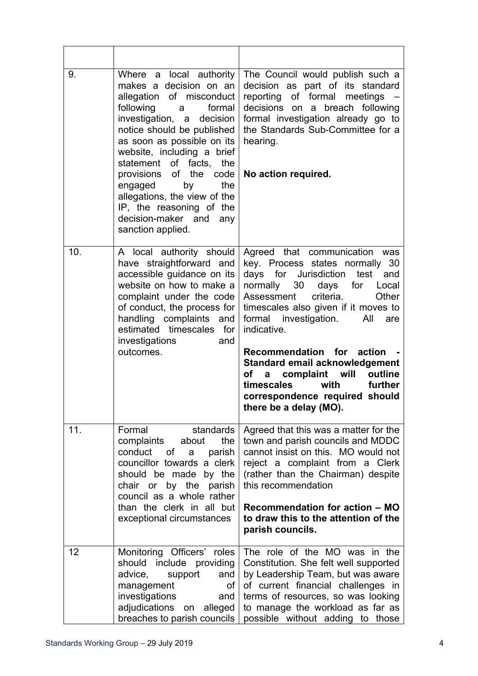| 9.  | Where a local authority<br>makes a decision on an<br>allegation of misconduct<br>following<br>formal<br>a a<br>investigation, a<br>decision<br>notice should be published<br>as soon as possible on its<br>website, including a brief<br>statement of facts,<br>the<br>provisions of the code<br>engaged<br>by<br>the<br>allegations, the view of the<br>IP, the reasoning of the<br>decision-maker and any<br>sanction applied. | The Council would publish such a<br>decision as part of its standard<br>reporting of formal meetings<br>decisions on a breach following<br>formal investigation already go to<br>the Standards Sub-Committee for a<br>hearing.<br>No action required.                                                                                                                                                                                                                       |
|-----|----------------------------------------------------------------------------------------------------------------------------------------------------------------------------------------------------------------------------------------------------------------------------------------------------------------------------------------------------------------------------------------------------------------------------------|-----------------------------------------------------------------------------------------------------------------------------------------------------------------------------------------------------------------------------------------------------------------------------------------------------------------------------------------------------------------------------------------------------------------------------------------------------------------------------|
| 10. | A local authority should<br>have straightforward and<br>accessible guidance on its<br>website on how to make a<br>complaint under the code<br>of conduct, the process for<br>handling complaints and<br>estimated timescales for<br>investigations<br>and<br>outcomes.                                                                                                                                                           | Agreed that communication was<br>key. Process states normally 30<br>days for Jurisdiction<br>test<br>and<br>normally 30 days for Local<br>criteria.<br>Other<br>Assessment<br>timescales also given if it moves to<br>formal investigation.<br>All<br>are<br>indicative.<br>Recommendation for action -<br>Standard email acknowledgement<br>a complaint will<br>outline<br>of<br>timescales<br>with<br>further<br>correspondence required should<br>there be a delay (MO). |
| 11. | standards<br>Formal<br>the<br>complaints<br>about<br>conduct of<br>parish<br>a<br>councillor towards a clerk<br>should be made by the<br>chair or by the parish<br>council as a whole rather<br>than the clerk in all but<br>exceptional circumstances                                                                                                                                                                           | Agreed that this was a matter for the<br>town and parish councils and MDDC<br>cannot insist on this. MO would not<br>reject a complaint from a Clerk<br>(rather than the Chairman) despite<br>this recommendation<br>Recommendation for action - MO<br>to draw this to the attention of the<br>parish councils.                                                                                                                                                             |
| 12  | Monitoring Officers' roles<br>include providing<br>should<br>advice,<br>support<br>and<br>management<br>0f<br>investigations<br>and<br>adjudications on alleged<br>breaches to parish councils                                                                                                                                                                                                                                   | The role of the MO was in the<br>Constitution. She felt well supported<br>by Leadership Team, but was aware<br>of current financial challenges in<br>terms of resources, so was looking<br>to manage the workload as far as<br>possible without adding to those                                                                                                                                                                                                             |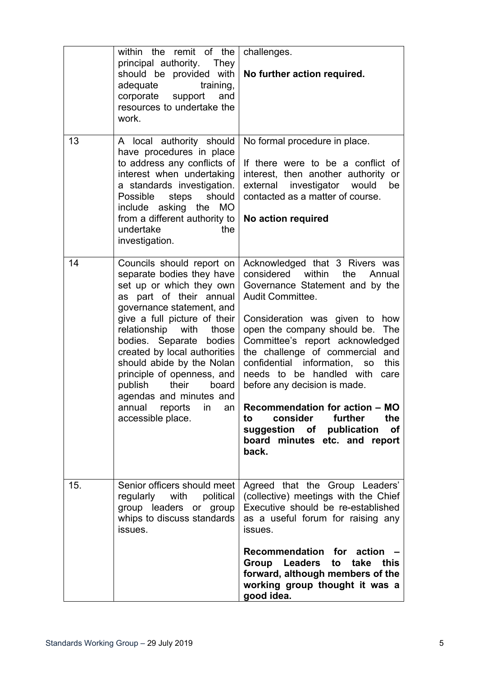|     | within the remit of the<br>principal authority. They<br>should be provided with<br>adequate<br>training,<br>corporate support and<br>resources to undertake the<br>work.                                                                                                                                                                                                                                                                     | challenges.<br>No further action required.                                                                                                                                                                                                                                                                                                                                                                                                                                                                                                             |
|-----|----------------------------------------------------------------------------------------------------------------------------------------------------------------------------------------------------------------------------------------------------------------------------------------------------------------------------------------------------------------------------------------------------------------------------------------------|--------------------------------------------------------------------------------------------------------------------------------------------------------------------------------------------------------------------------------------------------------------------------------------------------------------------------------------------------------------------------------------------------------------------------------------------------------------------------------------------------------------------------------------------------------|
| 13  | A local authority should<br>have procedures in place<br>to address any conflicts of<br>interest when undertaking<br>a standards investigation.<br>steps<br>Possible<br>should<br>include asking the MO<br>from a different authority to<br>undertake<br>the<br>investigation.                                                                                                                                                                | No formal procedure in place.<br>If there were to be a conflict of<br>interest, then another authority or<br>external investigator would<br>be<br>contacted as a matter of course.<br>No action required                                                                                                                                                                                                                                                                                                                                               |
| 14  | Councils should report on<br>separate bodies they have<br>set up or which they own<br>as part of their annual<br>governance statement, and<br>give a full picture of their<br>relationship<br>with<br>those<br>bodies. Separate bodies<br>created by local authorities<br>should abide by the Nolan<br>principle of openness, and<br>publish their<br>board<br>agendas and minutes and<br>annual<br>reports<br>in<br>an<br>accessible place. | Acknowledged that 3 Rivers was<br>considered within the<br>Annual<br>Governance Statement and by the<br>Audit Committee.<br>Consideration was given to how<br>open the company should be.<br>The<br>Committee's report acknowledged<br>the challenge of commercial and<br>confidential information,<br>this<br><b>SO</b><br>needs to be handled with<br>care<br>before any decision is made.<br>Recommendation for action - MO<br>consider<br>further<br>the<br>to<br>suggestion of publication<br><b>of</b><br>board minutes etc. and report<br>back. |
| 15. | Senior officers should meet<br>regularly with<br>political<br>group leaders or group<br>whips to discuss standards<br>issues.                                                                                                                                                                                                                                                                                                                | Agreed that the Group Leaders'<br>(collective) meetings with the Chief<br>Executive should be re-established<br>as a useful forum for raising any<br>issues.<br>Recommendation for action<br>Group Leaders to take this<br>forward, although members of the<br>working group thought it was a<br>good idea.                                                                                                                                                                                                                                            |